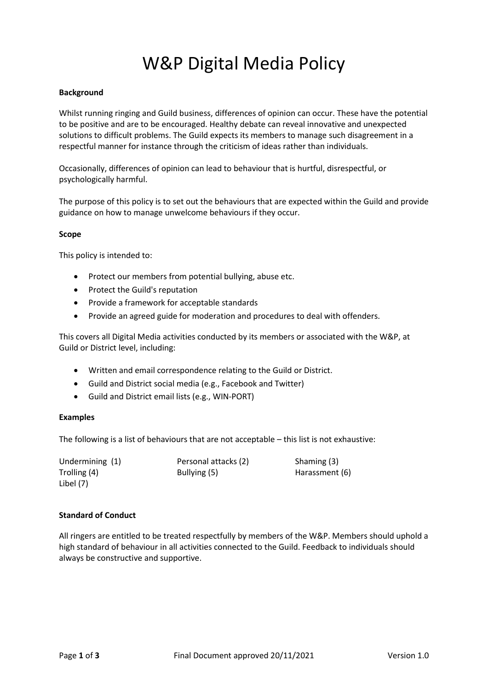# W&P Digital Media Policy

## **Background**

Whilst running ringing and Guild business, differences of opinion can occur. These have the potential to be positive and are to be encouraged. Healthy debate can reveal innovative and unexpected solutions to difficult problems. The Guild expects its members to manage such disagreement in a respectful manner for instance through the criticism of ideas rather than individuals.

Occasionally, differences of opinion can lead to behaviour that is hurtful, disrespectful, or psychologically harmful.

The purpose of this policy is to set out the behaviours that are expected within the Guild and provide guidance on how to manage unwelcome behaviours if they occur.

#### **Scope**

This policy is intended to:

- Protect our members from potential bullying, abuse etc.
- Protect the Guild's reputation
- Provide a framework for acceptable standards
- Provide an agreed guide for moderation and procedures to deal with offenders.

This covers all Digital Media activities conducted by its members or associated with the W&P, at Guild or District level, including:

- Written and email correspondence relating to the Guild or District.
- Guild and District social media (e.g., Facebook and Twitter)
- Guild and District email lists (e.g., WIN-PORT)

# **Examples**

The following is a list of behaviours that are not acceptable – this list is not exhaustive:

| Undermining (1) | Personal attacks (2) | Shaming (3)    |
|-----------------|----------------------|----------------|
| Trolling (4)    | Bullying (5)         | Harassment (6) |
| Libel (7)       |                      |                |

# **Standard of Conduct**

All ringers are entitled to be treated respectfully by members of the W&P. Members should uphold a high standard of behaviour in all activities connected to the Guild. Feedback to individuals should always be constructive and supportive.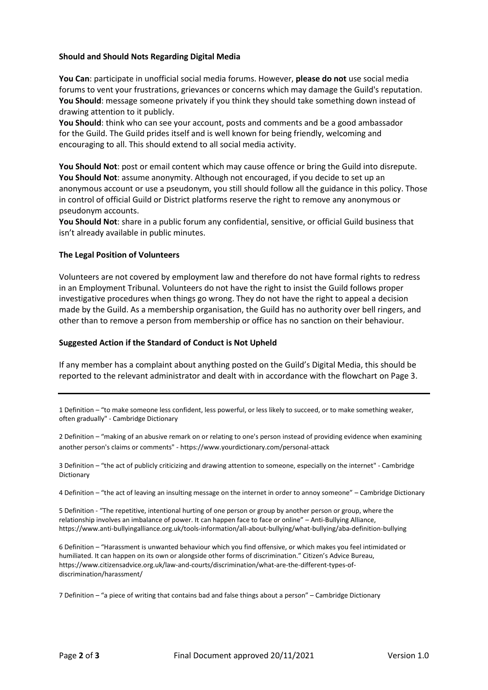## **Should and Should Nots Regarding Digital Media**

**You Can**: participate in unofficial social media forums. However, **please do not** use social media forums to vent your frustrations, grievances or concerns which may damage the Guild's reputation. **You Should**: message someone privately if you think they should take something down instead of drawing attention to it publicly.

**You Should**: think who can see your account, posts and comments and be a good ambassador for the Guild. The Guild prides itself and is well known for being friendly, welcoming and encouraging to all. This should extend to all social media activity.

**You Should Not**: post or email content which may cause offence or bring the Guild into disrepute. **You Should Not**: assume anonymity. Although not encouraged, if you decide to set up an anonymous account or use a pseudonym, you still should follow all the guidance in this policy. Those in control of official Guild or District platforms reserve the right to remove any anonymous or pseudonym accounts.

**You Should Not**: share in a public forum any confidential, sensitive, or official Guild business that isn't already available in public minutes.

#### **The Legal Position of Volunteers**

Volunteers are not covered by employment law and therefore do not have formal rights to redress in an Employment Tribunal. Volunteers do not have the right to insist the Guild follows proper investigative procedures when things go wrong. They do not have the right to appeal a decision made by the Guild. As a membership organisation, the Guild has no authority over bell ringers, and other than to remove a person from membership or office has no sanction on their behaviour.

#### **Suggested Action if the Standard of Conduct is Not Upheld**

If any member has a complaint about anything posted on the Guild's Digital Media, this should be reported to the relevant administrator and dealt with in accordance with the flowchart on Page 3.

1 Definition – "to make someone less [confident,](https://dictionary.cambridge.org/dictionary/english/confident) less [powerful,](https://dictionary.cambridge.org/dictionary/english/powerful) or less [likely](https://dictionary.cambridge.org/dictionary/english/likely) to [succeed,](https://dictionary.cambridge.org/dictionary/english/succeed) or to make something [weaker,](https://dictionary.cambridge.org/dictionary/english/weak)  often [gradually"](https://dictionary.cambridge.org/dictionary/english/gradually) - Cambridge Dictionary

2 Definition – "making of an abusive remark on or relating to one's person instead of providing evidence when examining another person's claims or comments" - https://www.yourdictionary.com/personal-attack

3 Definition – "the [act](https://dictionary.cambridge.org/dictionary/english/act) of [publicly](https://dictionary.cambridge.org/dictionary/english/publicly) [criticizing](https://dictionary.cambridge.org/dictionary/english/criticize) and [drawing](https://dictionary.cambridge.org/dictionary/english/drawing) [attention](https://dictionary.cambridge.org/dictionary/english/attention) to someone, [especially](https://dictionary.cambridge.org/dictionary/english/especially) on the [internet"](https://dictionary.cambridge.org/dictionary/english/internet) - Cambridge Dictionary

4 Definition – "the act of leaving an insulting message on the internet in order to annoy someone" – Cambridge Dictionary

5 Definition - "The repetitive, intentional hurting of one person or group by another person or group, where the relationship involves an imbalance of power. It can happen face to face or online" – Anti-Bullying Alliance, https://www.anti-bullyingalliance.org.uk/tools-information/all-about-bullying/what-bullying/aba-definition-bullying

6 Definition – "Harassment is unwanted behaviour which you find offensive, or which makes you feel intimidated or humiliated. It can happen on its own or alongside other forms of discrimination." Citizen's Advice Bureau, https://www.citizensadvice.org.uk/law-and-courts/discrimination/what-are-the-different-types-ofdiscrimination/harassment/

7 Definition – "a [piece](https://dictionary.cambridge.org/dictionary/english/piece) of writing that [contains](https://dictionary.cambridge.org/dictionary/english/contain) [bad](https://dictionary.cambridge.org/dictionary/english/bad) and [false](https://dictionary.cambridge.org/dictionary/english/false) things about a [person](https://dictionary.cambridge.org/dictionary/english/person)" – Cambridge Dictionary